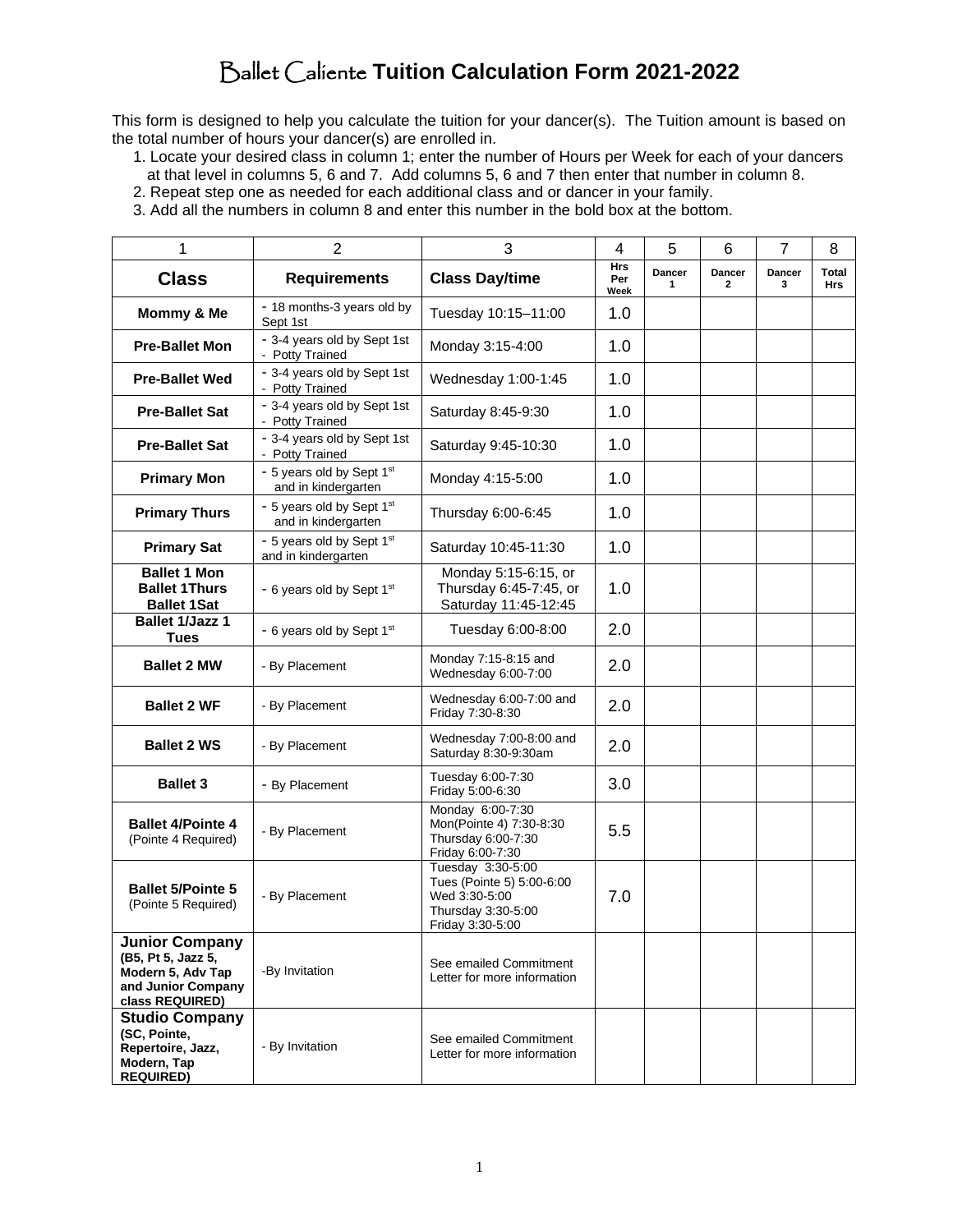# Ballet Caliente **Tuition Calculation Form 2021-2022**

This form is designed to help you calculate the tuition for your dancer(s). The Tuition amount is based on the total number of hours your dancer(s) are enrolled in.

- 1. Locate your desired class in column 1; enter the number of Hours per Week for each of your dancers at that level in columns 5, 6 and 7. Add columns 5, 6 and 7 then enter that number in column 8.
- 2. Repeat step one as needed for each additional class and or dancer in your family.
- 3. Add all the numbers in column 8 and enter this number in the bold box at the bottom.

| 1                                                                                                                | $\overline{2}$                                   | 3                                                                                                         | 4                         | 5           | 6           | 7           | 8                          |
|------------------------------------------------------------------------------------------------------------------|--------------------------------------------------|-----------------------------------------------------------------------------------------------------------|---------------------------|-------------|-------------|-------------|----------------------------|
| <b>Class</b>                                                                                                     | <b>Requirements</b>                              | <b>Class Day/time</b>                                                                                     | <b>Hrs</b><br>Per<br>Week | Dancer<br>1 | Dancer<br>2 | Dancer<br>3 | <b>Total</b><br><b>Hrs</b> |
| Mommy & Me                                                                                                       | - 18 months-3 years old by<br>Sept 1st           | Tuesday 10:15-11:00                                                                                       | 1.0                       |             |             |             |                            |
| <b>Pre-Ballet Mon</b>                                                                                            | - 3-4 years old by Sept 1st<br>- Potty Trained   | Monday 3:15-4:00                                                                                          | 1.0                       |             |             |             |                            |
| <b>Pre-Ballet Wed</b>                                                                                            | - 3-4 years old by Sept 1st<br>- Potty Trained   | Wednesday 1:00-1:45                                                                                       | 1.0                       |             |             |             |                            |
| <b>Pre-Ballet Sat</b>                                                                                            | - 3-4 years old by Sept 1st<br>- Potty Trained   | Saturday 8:45-9:30                                                                                        | 1.0                       |             |             |             |                            |
| <b>Pre-Ballet Sat</b>                                                                                            | - 3-4 years old by Sept 1st<br>- Potty Trained   | Saturday 9:45-10:30                                                                                       | 1.0                       |             |             |             |                            |
| <b>Primary Mon</b>                                                                                               | - 5 years old by Sept 1st<br>and in kindergarten |                                                                                                           | 1.0                       |             |             |             |                            |
| <b>Primary Thurs</b>                                                                                             | - 5 years old by Sept 1st<br>and in kindergarten | Thursday 6:00-6:45                                                                                        | 1.0                       |             |             |             |                            |
| <b>Primary Sat</b>                                                                                               | - 5 years old by Sept 1st<br>and in kindergarten | Saturday 10:45-11:30                                                                                      | 1.0                       |             |             |             |                            |
| <b>Ballet 1 Mon</b><br><b>Ballet 1Thurs</b><br><b>Ballet 1Sat</b>                                                | - 6 years old by Sept 1st                        | Monday 5:15-6:15, or<br>Thursday 6:45-7:45, or<br>Saturday 11:45-12:45                                    | 1.0                       |             |             |             |                            |
| <b>Ballet 1/Jazz 1</b><br><b>Tues</b>                                                                            | - 6 years old by Sept 1st                        | Tuesday 6:00-8:00                                                                                         | 2.0                       |             |             |             |                            |
| <b>Ballet 2 MW</b>                                                                                               | - By Placement                                   | Monday 7:15-8:15 and<br>Wednesday 6:00-7:00                                                               | 2.0                       |             |             |             |                            |
| <b>Ballet 2 WF</b>                                                                                               | - By Placement                                   | Wednesday 6:00-7:00 and<br>Friday 7:30-8:30                                                               | 2.0                       |             |             |             |                            |
| <b>Ballet 2 WS</b>                                                                                               | - By Placement                                   | Wednesday 7:00-8:00 and<br>Saturday 8:30-9:30am                                                           | 2.0                       |             |             |             |                            |
| <b>Ballet 3</b>                                                                                                  | - By Placement                                   | Tuesday 6:00-7:30<br>Friday 5:00-6:30                                                                     | 3.0                       |             |             |             |                            |
| <b>Ballet 4/Pointe 4</b><br>(Pointe 4 Required)                                                                  | - By Placement                                   | Monday 6:00-7:30<br>Mon(Pointe 4) 7:30-8:30<br>Thursday 6:00-7:30<br>Friday 6:00-7:30                     | 5.5                       |             |             |             |                            |
| <b>Ballet 5/Pointe 5</b><br>(Pointe 5 Required)                                                                  | - By Placement                                   | Tuesday 3:30-5:00<br>Tues (Pointe 5) 5:00-6:00<br>Wed 3:30-5:00<br>Thursday 3:30-5:00<br>Friday 3:30-5:00 | 7.0                       |             |             |             |                            |
| <b>Junior Company</b><br>(B5, Pt 5, Jazz 5,<br>Modern 5, Adv Tap<br>and Junior Company<br>class REQUIRED)        | -By Invitation                                   | See emailed Commitment<br>Letter for more information                                                     |                           |             |             |             |                            |
| <b>Studio Company</b><br>(SC, Pointe,<br>- By Invitation<br>Repertoire, Jazz,<br>Modern, Tap<br><b>REQUIRED)</b> |                                                  | See emailed Commitment<br>Letter for more information                                                     |                           |             |             |             |                            |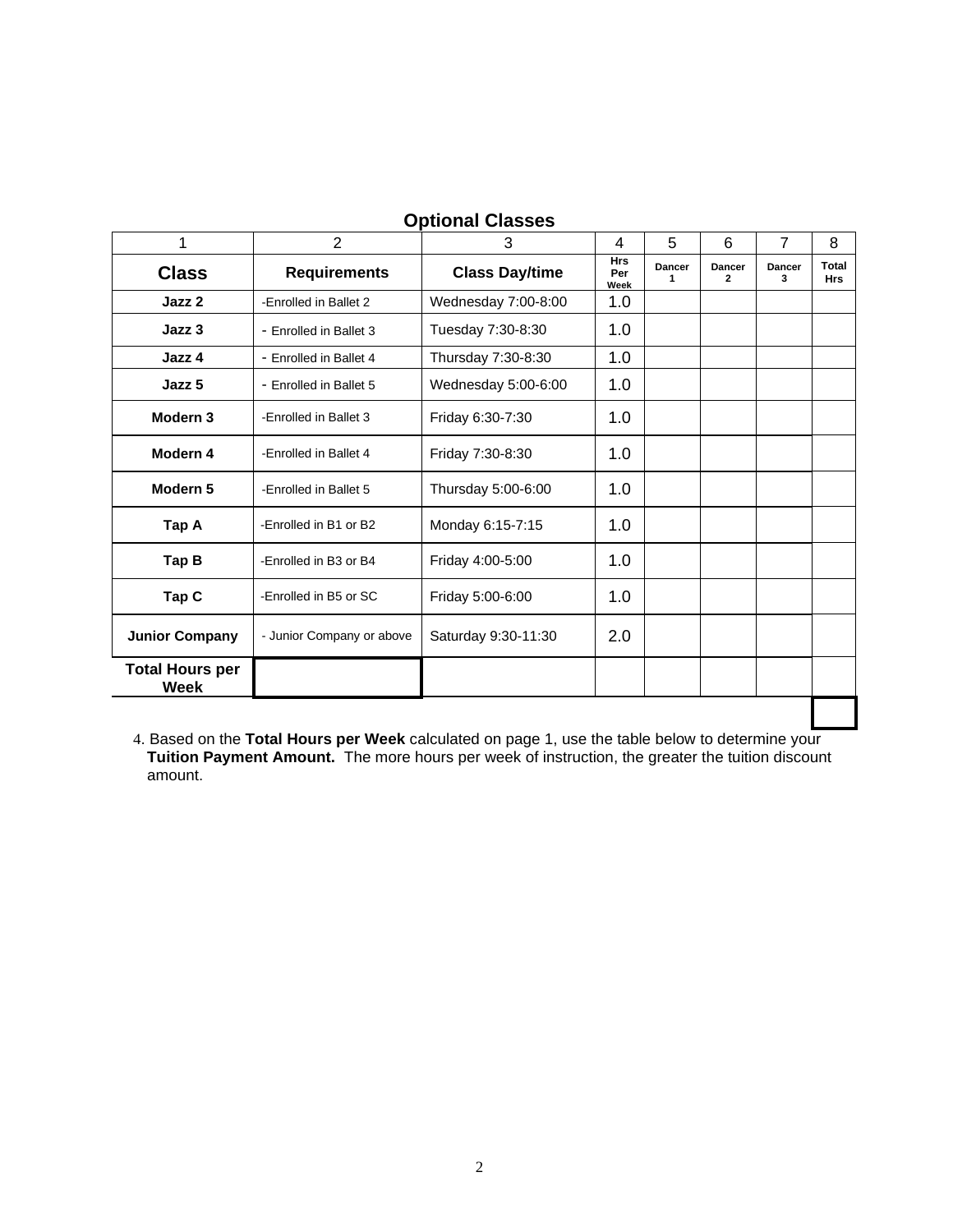| 1                              | $\overline{2}$            | 3                     | 4                         | 6<br>5      |                                 | $\overline{7}$ | 8                   |
|--------------------------------|---------------------------|-----------------------|---------------------------|-------------|---------------------------------|----------------|---------------------|
| <b>Class</b>                   | <b>Requirements</b>       | <b>Class Day/time</b> | <b>Hrs</b><br>Per<br>Week | Dancer<br>1 | <b>Dancer</b><br>$\overline{2}$ | Dancer<br>3    | Total<br><b>Hrs</b> |
| Jazz 2                         | -Enrolled in Ballet 2     | Wednesday 7:00-8:00   | 1.0                       |             |                                 |                |                     |
| Jazz 3                         | - Enrolled in Ballet 3    | Tuesday 7:30-8:30     | 1.0                       |             |                                 |                |                     |
| Jazz 4                         | - Enrolled in Ballet 4    | Thursday 7:30-8:30    | 1.0                       |             |                                 |                |                     |
| Jazz 5                         | - Enrolled in Ballet 5    | Wednesday 5:00-6:00   | 1.0                       |             |                                 |                |                     |
| Modern <sub>3</sub>            | -Enrolled in Ballet 3     | Friday 6:30-7:30      | 1.0                       |             |                                 |                |                     |
| Modern 4                       | -Enrolled in Ballet 4     | Friday 7:30-8:30      | 1.0                       |             |                                 |                |                     |
| Modern <sub>5</sub>            | -Enrolled in Ballet 5     | Thursday 5:00-6:00    | 1.0                       |             |                                 |                |                     |
| Tap A                          | -Enrolled in B1 or B2     | Monday 6:15-7:15      | 1.0                       |             |                                 |                |                     |
| Tap B                          | -Enrolled in B3 or B4     | Friday 4:00-5:00      | 1.0                       |             |                                 |                |                     |
| Tap C                          | -Enrolled in B5 or SC     | Friday 5:00-6:00      | 1.0                       |             |                                 |                |                     |
| <b>Junior Company</b>          | - Junior Company or above | Saturday 9:30-11:30   | 2.0                       |             |                                 |                |                     |
| <b>Total Hours per</b><br>Week |                           |                       |                           |             |                                 |                |                     |

## **Optional Classes**

4. Based on the **Total Hours per Week** calculated on page 1, use the table below to determine your **Tuition Payment Amount.** The more hours per week of instruction, the greater the tuition discount amount.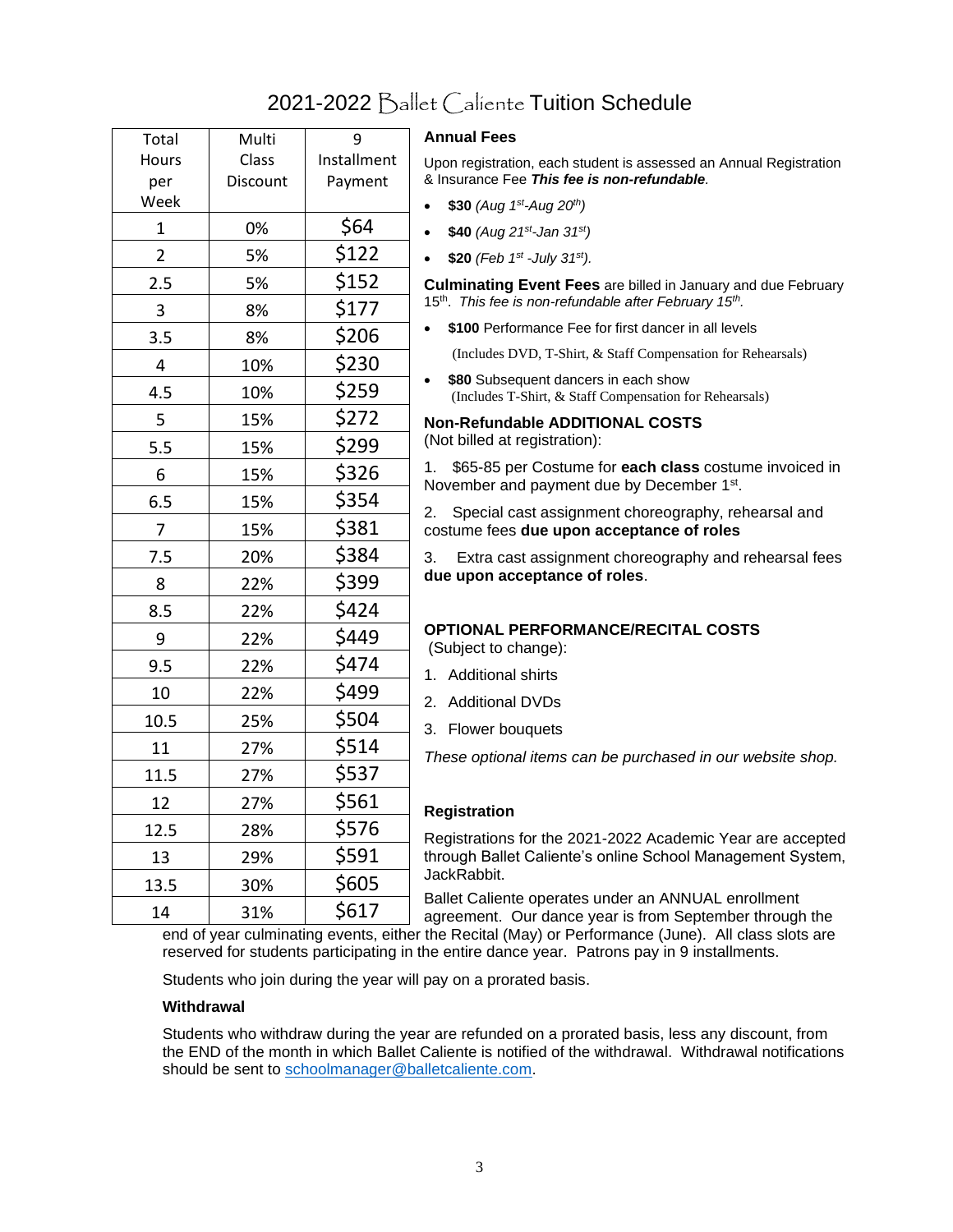# 2021-2022 Ballet Caliente Tuition Schedule

| Total          | Multi    | 9           | <b>Annual Fees</b>                                                                                             |
|----------------|----------|-------------|----------------------------------------------------------------------------------------------------------------|
| <b>Hours</b>   | Class    | Installment | Upon registration, each student is assessed an Annual Registration                                             |
| per            | Discount | Payment     | & Insurance Fee This fee is non-refundable.                                                                    |
| Week           |          |             | \$30 (Aug $1^{st}$ -Aug $20^{th}$ )                                                                            |
| 1              | 0%       | \$64        | \$40 (Aug 21st-Jan 31st)<br>$\bullet$                                                                          |
| $\overline{2}$ | 5%       | \$122       | \$20 (Feb 1st -July 31st).                                                                                     |
| 2.5            | 5%       | \$152       | Culminating Event Fees are billed in January and due February                                                  |
| 3              | 8%       | \$177       | 15 <sup>th</sup> . This fee is non-refundable after February 15 <sup>th</sup> .                                |
| 3.5            | 8%       | \$206       | \$100 Performance Fee for first dancer in all levels                                                           |
| 4              | 10%      | \$230       | (Includes DVD, T-Shirt, & Staff Compensation for Rehearsals)                                                   |
| 4.5            | 10%      | \$259       | \$80 Subsequent dancers in each show<br>(Includes T-Shirt, & Staff Compensation for Rehearsals)                |
| 5              | 15%      | \$272       | <b>Non-Refundable ADDITIONAL COSTS</b>                                                                         |
| 5.5            | 15%      | \$299       | (Not billed at registration):                                                                                  |
| 6              | 15%      | \$326       | \$65-85 per Costume for each class costume invoiced in<br>1.<br>November and payment due by December 1st.      |
| 6.5            | 15%      | \$354       | 2.                                                                                                             |
| $\overline{7}$ | 15%      | \$381       | Special cast assignment choreography, rehearsal and<br>costume fees due upon acceptance of roles               |
| 7.5            | 20%      | \$384       | Extra cast assignment choreography and rehearsal fees<br>3.                                                    |
| 8              | 22%      | \$399       | due upon acceptance of roles.                                                                                  |
| 8.5            | 22%      | \$424       |                                                                                                                |
| 9              | 22%      | \$449       | <b>OPTIONAL PERFORMANCE/RECITAL COSTS</b><br>(Subject to change):                                              |
| 9.5            | 22%      | \$474       | 1. Additional shirts                                                                                           |
| 10             | 22%      | \$499       | 2. Additional DVDs                                                                                             |
| 10.5           | 25%      | \$504       | 3. Flower bouquets                                                                                             |
| 11             | 27%      | \$514       | These optional items can be purchased in our website shop.                                                     |
| 11.5           | 27%      | \$537       |                                                                                                                |
| 12             | 27%      | \$561       | <b>Registration</b>                                                                                            |
| 12.5           | 28%      | \$576       | Registrations for the 2021-2022 Academic Year are accepted                                                     |
| 13             | 29%      | \$591       | through Ballet Caliente's online School Management System,                                                     |
| 13.5           | 30%      | \$605       | JackRabbit.                                                                                                    |
| 14             | 31%      | \$617       | Ballet Caliente operates under an ANNUAL enrollment<br>agreement. Our dance year is from September through the |

end of year culminating events, either the Recital (May) or Performance (June). All class slots are reserved for students participating in the entire dance year. Patrons pay in 9 installments.

Students who join during the year will pay on a prorated basis.

### **Withdrawal**

Students who withdraw during the year are refunded on a prorated basis, less any discount, from the END of the month in which Ballet Caliente is notified of the withdrawal. Withdrawal notifications should be sent to [schoolmanager@balletcaliente.com.](mailto:schoolmanager@balletcaliente.com)